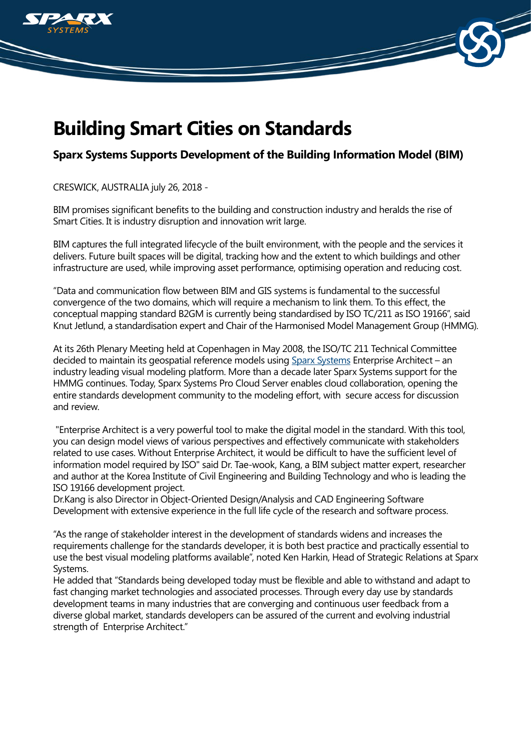

## **Building Smart Cities on Standards**

## **Sparx Systems Supports Development of the Building Information Model (BIM)**

CRESWICK, AUSTRALIA july 26, 2018 -

BIM promises significant benefits to the building and construction industry and heralds the rise of Smart Cities. It is industry disruption and innovation writ large.

BIM captures the full integrated lifecycle of the built environment, with the people and the services it delivers. Future built spaces will be digital, tracking how and the extent to which buildings and other infrastructure are used, while improving asset performance, optimising operation and reducing cost.

"Data and communication flow between BIM and GIS systems is fundamental to the successful convergence of the two domains, which will require a mechanism to link them. To this effect, the conceptual mapping standard B2GM is currently being standardised by ISO TC/211 as ISO 19166", said Knut Jetlund, a standardisation expert and Chair of the Harmonised Model Management Group (HMMG).

At its 26th Plenary Meeting held at Copenhagen in May 2008, the ISO/TC 211 Technical Committee decided to maintain its geospatial reference models using [Sparx Systems](https://www.sparxsystems.com) Enterprise Architect – an industry leading visual modeling platform. More than a decade later Sparx Systems support for the HMMG continues. Today, Sparx Systems Pro Cloud Server enables cloud collaboration, opening the entire standards development community to the modeling effort, with secure access for discussion and review.

 "Enterprise Architect is a very powerful tool to make the digital model in the standard. With this tool, you can design model views of various perspectives and effectively communicate with stakeholders related to use cases. Without Enterprise Architect, it would be difficult to have the sufficient level of information model required by ISO" said Dr. Tae-wook, Kang, a BIM subject matter expert, researcher and author at the Korea Institute of Civil Engineering and Building Technology and who is leading the ISO 19166 development project.

Dr.Kang is also Director in Object-Oriented Design/Analysis and CAD Engineering Software Development with extensive experience in the full life cycle of the research and software process.

"As the range of stakeholder interest in the development of standards widens and increases the requirements challenge for the standards developer, it is both best practice and practically essential to use the best visual modeling platforms available", noted Ken Harkin, Head of Strategic Relations at Sparx Systems.

He added that "Standards being developed today must be flexible and able to withstand and adapt to fast changing market technologies and associated processes. Through every day use by standards development teams in many industries that are converging and continuous user feedback from a diverse global market, standards developers can be assured of the current and evolving industrial strength of Enterprise Architect."